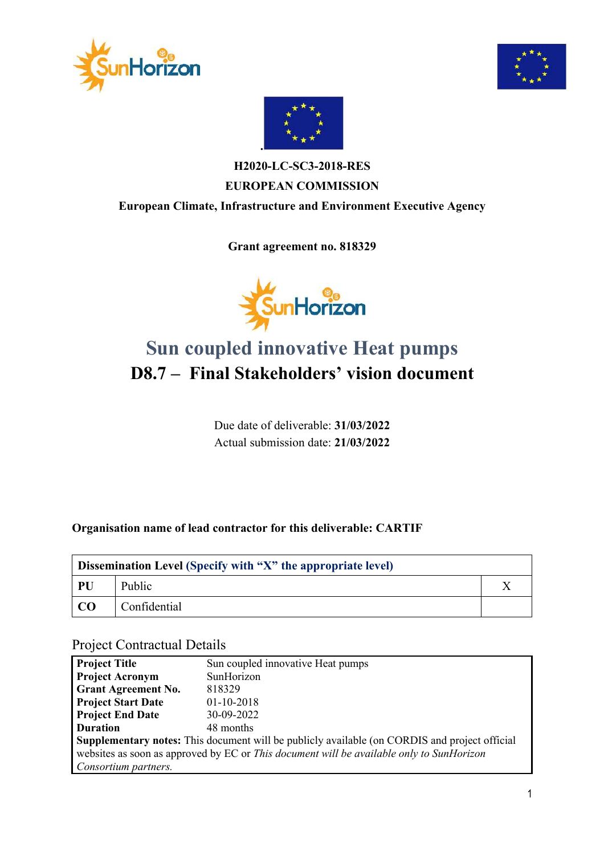





### **H2020-LC-SC3-2018-RES EUROPEAN COMMISSION European Climate, Infrastructure and Environment Executive Agency**

**Grant agreement no. 818329**



# **Sun coupled innovative Heat pumps D8.7 – Final Stakeholders' vision document**

Due date of deliverable: **31/03/2022** Actual submission date: **21/03/2022**

#### **Organisation name of lead contractor for this deliverable: CARTIF**

| <b>Dissemination Level (Specify with "X" the appropriate level)</b> |              |  |  |  |
|---------------------------------------------------------------------|--------------|--|--|--|
| PU                                                                  | Public       |  |  |  |
| LCO                                                                 | Confidential |  |  |  |

#### Project Contractual Details

| <b>Project Title</b>                                                                                 | Sun coupled innovative Heat pumps |  |  |  |
|------------------------------------------------------------------------------------------------------|-----------------------------------|--|--|--|
| <b>Project Acronym</b>                                                                               | SunHorizon                        |  |  |  |
| <b>Grant Agreement No.</b>                                                                           | 818329                            |  |  |  |
| <b>Project Start Date</b>                                                                            | $01-10-2018$                      |  |  |  |
| <b>Project End Date</b>                                                                              | 30-09-2022                        |  |  |  |
| <b>Duration</b>                                                                                      | 48 months                         |  |  |  |
| <b>Supplementary notes:</b> This document will be publicly available (on CORDIS and project official |                                   |  |  |  |
| websites as soon as approved by EC or This document will be available only to SunHorizon             |                                   |  |  |  |
| Consortium partners.                                                                                 |                                   |  |  |  |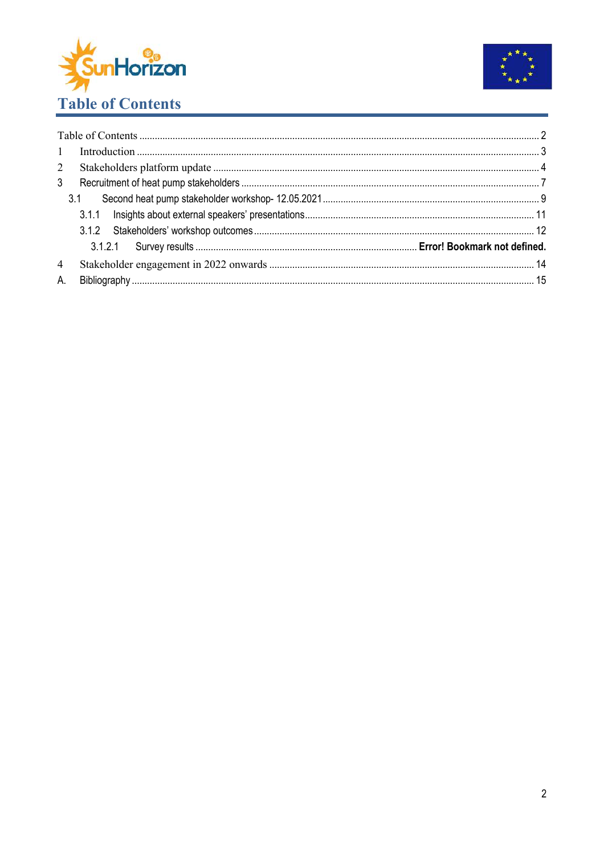



| 1              |     |  |
|----------------|-----|--|
| $2^{\circ}$    |     |  |
| 3 <sup>1</sup> |     |  |
|                | 3.1 |  |
|                |     |  |
|                |     |  |
|                |     |  |
| $\overline{4}$ |     |  |
| A.             |     |  |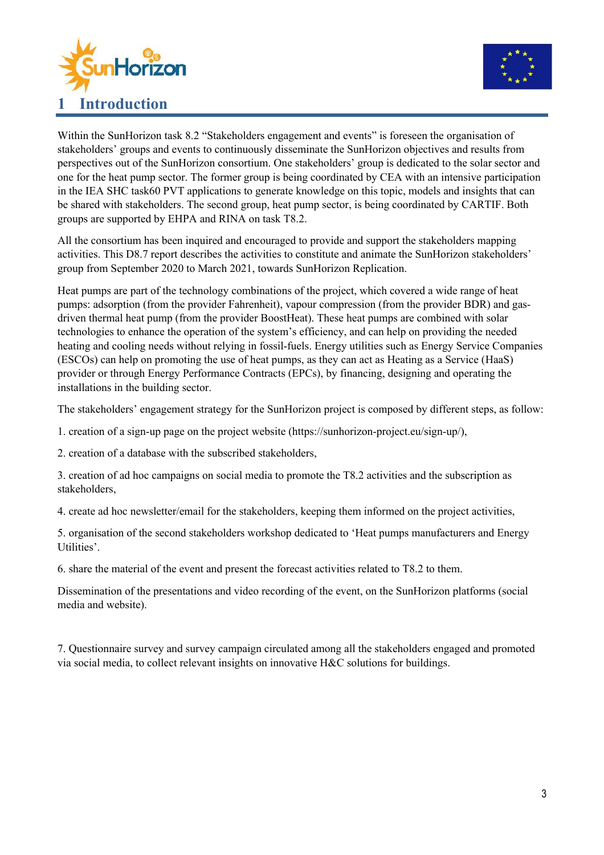



Within the SunHorizon task 8.2 "Stakeholders engagement and events" is foreseen the organisation of stakeholders' groups and events to continuously disseminate the SunHorizon objectives and results from perspectives out of the SunHorizon consortium. One stakeholders' group is dedicated to the solar sector and one for the heat pump sector. The former group is being coordinated by CEA with an intensive participation in the IEA SHC task60 PVT applications to generate knowledge on this topic, models and insights that can be shared with stakeholders. The second group, heat pump sector, is being coordinated by CARTIF. Both groups are supported by EHPA and RINA on task T8.2.

All the consortium has been inquired and encouraged to provide and support the stakeholders mapping activities. This D8.7 report describes the activities to constitute and animate the SunHorizon stakeholders' group from September 2020 to March 2021, towards SunHorizon Replication.

Heat pumps are part of the technology combinations of the project, which covered a wide range of heat pumps: adsorption (from the provider Fahrenheit), vapour compression (from the provider BDR) and gasdriven thermal heat pump (from the provider BoostHeat). These heat pumps are combined with solar technologies to enhance the operation of the system's efficiency, and can help on providing the needed heating and cooling needs without relying in fossil-fuels. Energy utilities such as Energy Service Companies (ESCOs) can help on promoting the use of heat pumps, as they can act as Heating as a Service (HaaS) provider or through Energy Performance Contracts (EPCs), by financing, designing and operating the installations in the building sector.

The stakeholders' engagement strategy for the SunHorizon project is composed by different steps, as follow:

1. creation of a sign-up page on the project website (https://sunhorizon-project.eu/sign-up/),

2. creation of a database with the subscribed stakeholders,

3. creation of ad hoc campaigns on social media to promote the T8.2 activities and the subscription as stakeholders,

4. create ad hoc newsletter/email for the stakeholders, keeping them informed on the project activities,

5. organisation of the second stakeholders workshop dedicated to 'Heat pumps manufacturers and Energy Utilities'.

6. share the material of the event and present the forecast activities related to T8.2 to them.

Dissemination of the presentations and video recording of the event, on the SunHorizon platforms (social media and website).

7. Questionnaire survey and survey campaign circulated among all the stakeholders engaged and promoted via social media, to collect relevant insights on innovative H&C solutions for buildings.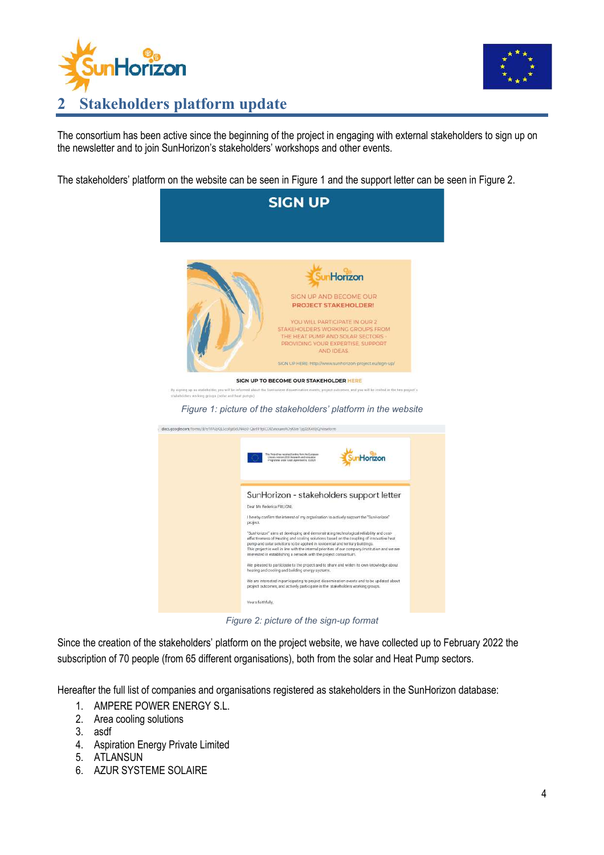



The consortium has been active since the beginning of the project in engaging with external stakeholders to sign up on the newsletter and to join SunHorizon's stakeholders' workshops and other events.

The stakeholders' platform on the website can be seen in Figure 1 and the support letter can be seen in Figure 2.



*Figure 2: picture of the sign-up format*

Since the creation of the stakeholders' platform on the project website, we have collected up to February 2022 the subscription of 70 people (from 65 different organisations), both from the solar and Heat Pump sectors.

Hereafter the full list of companies and organisations registered as stakeholders in the SunHorizon database:

- 1. AMPERE POWER ENERGY S.L.
- 2. Area cooling solutions
- 3. asdf
- 4. Aspiration Energy Private Limited
- 5. ATLANSUN
- 6. AZUR SYSTEME SOLAIRE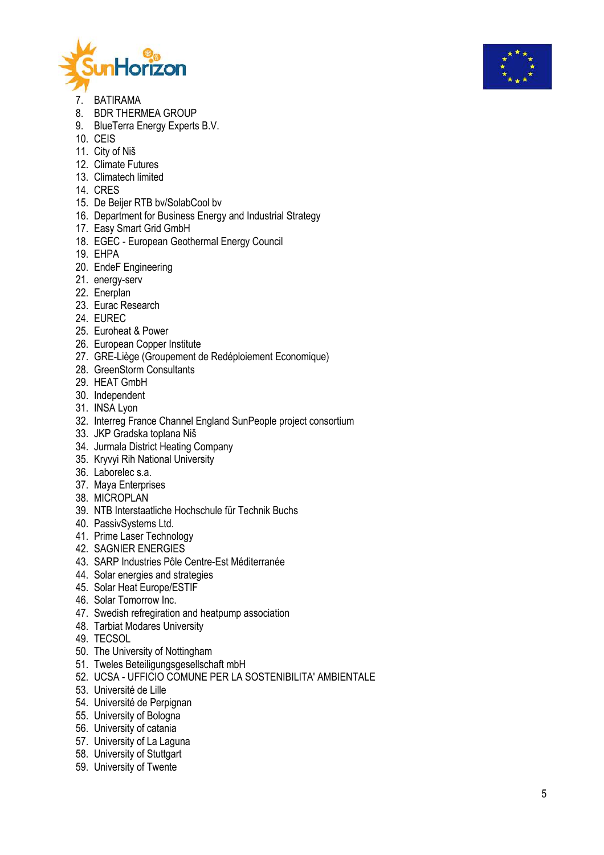



- 7. BATIRAMA
- 8. BDR THERMEA GROUP
- 9. BlueTerra Energy Experts B.V.
- 10. CEIS
- 11. City of Ni š
- 12. Climate Futures
- 13. Climatech limited
- 14. CRES
- 15. De Beijer RTB bv/SolabCool bv
- 16. Department for Business Energy and Industrial Strategy
- 17. Easy Smart Grid GmbH
- 18. EGEC European Geothermal Energy Council
- 19. EHPA
- 20. EndeF Engineering
- 21. energy -serv
- 22. Enerplan
- 23. Eurac Research
- 24. EUREC
- 25. Euroheat & Power
- 26. European Copper Institute
- 27. GRE -Liège (Groupement de Redéploiement Economique)
- 28. GreenStorm Consultants
- 29. HEAT GmbH
- 30. Independent
- 31. INSA Lyon
- 32. Interreg France Channel England SunPeople project consortium
- 33. JKP Gradska toplana Ni š
- 34. Jurmala District Heating Company
- 35. Kryvyi Rih National University
- 36. Laborelec s.a.
- 37. Maya Enterprises
- 38. MICROPLAN
- 39. NTB Interstaatliche Hochschule für Technik Buchs
- 40. PassivSystems Ltd.
- 41. Prime Laser Technology
- 42. SAGNIER ENERGIES
- 43. SARP Industries Pôle Centre -Est Méditerranée
- 44. Solar energies and strategies
- 45. Solar Heat Europe/ESTIF
- 46. Solar Tomorrow Inc.
- 47. Swedish refregiration and heatpump association
- 48. Tarbiat Modares University
- 49. TECSOL
- 50. The University of Nottingham
- 51. Tweles Beteiligungsgesellschaft mbH
- 52. UCSA UFFICIO COMUNE PER LA SOSTENIBILITA' AMBIENTALE
- 53. Université de Lille
- 54. Université de Perpignan
- 55. University of Bologna
- 56. University of catania
- 57. University of La Laguna
- 58. University of Stuttgart
- 59. University of Twente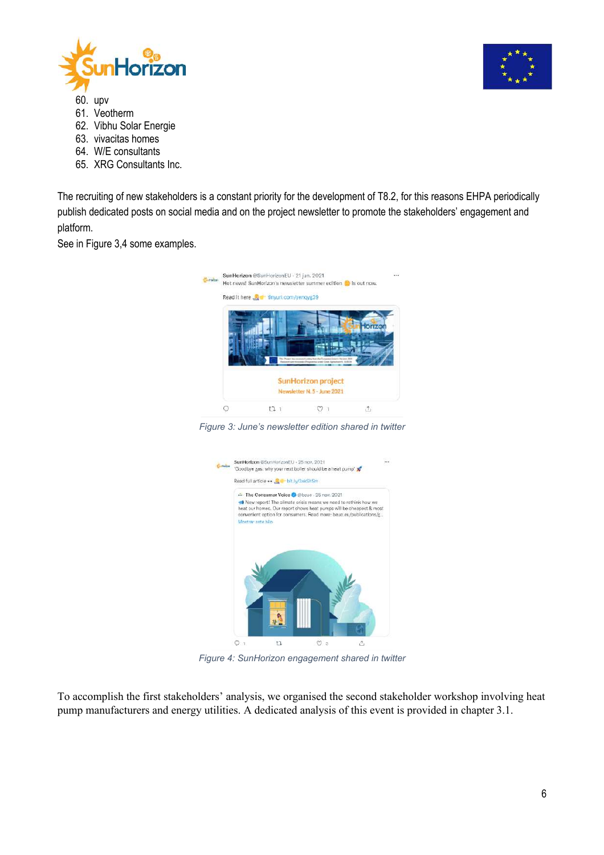

- 60. upv
- 61. Veotherm
- 62. Vibhu Solar Energie
- 63. vivacitas homes
- 64. W/E consultants
- 65. XRG Consultants Inc.

The recruiting of new stakeholders is a constant priority for the development of T8.2, for this reasons EHPA periodically publish dedicated posts on social media and on the project newsletter to promote the stakeholders' engagement and platform.

See in Figure 3,4 some examples.



*Figure 3: June's newsletter edition shared in twitter*



*Figure 4: SunHorizon engagement shared in twitter*

To accomplish the first stakeholders' analysis, we organised the second stakeholder workshop involving heat pump manufacturers and energy utilities. A dedicated analysis of this event is provided in chapter 3.1.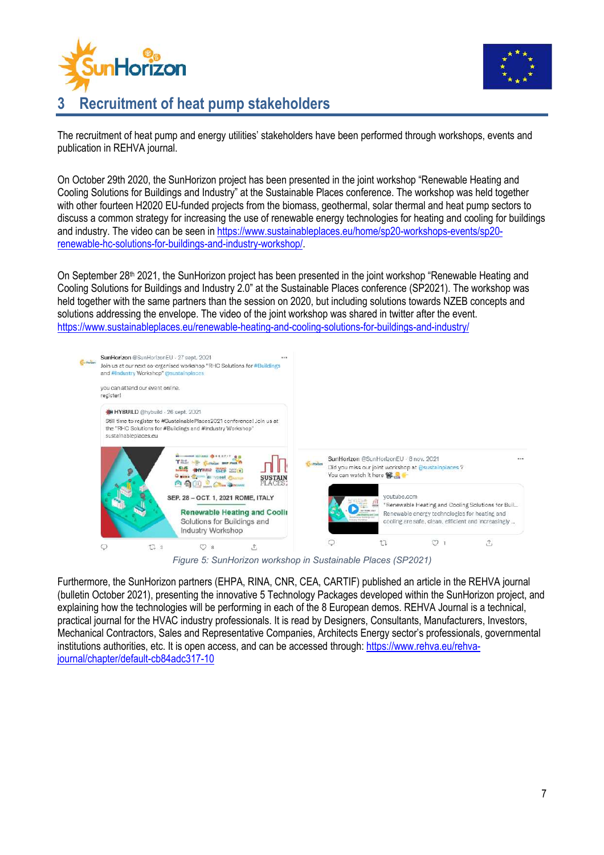



### **3 Recruitment of heat pump stakeholders**

The recruitment of heat pump and energy utilities' stakeholders have been performed through workshops, events and publication in REHVA journal.

On October 29th 2020, the SunHorizon project has been presented in the joint workshop "Renewable Heating and Cooling Solutions for Buildings and Industry" at the Sustainable Places conference. The workshop was held together with other fourteen H2020 EU-funded projects from the biomass, geothermal, solar thermal and heat pump sectors to discuss a common strategy for increasing the use of renewable energy technologies for heating and cooling for buildings and industry. The video can be seen in https://www.sustainableplaces.eu/home/sp20-workshops-events/sp20 renewable-hc-solutions-for-buildings-and-industry-workshop/.

On September 28th 2021, the SunHorizon project has been presented in the joint workshop "Renewable Heating and Cooling Solutions for Buildings and Industry 2.0" at the Sustainable Places conference (SP2021). The workshop was held together with the same partners than the session on 2020, but including solutions towards NZEB concepts and solutions addressing the envelope. The video of the joint workshop was shared in twitter after the event. https://www.sustainableplaces.eu/renewable-heating-and-cooling-solutions-for-buildings-and-industry/



*Figure 5: SunHorizon workshop in Sustainable Places (SP2021)*

Furthermore, the SunHorizon partners (EHPA, RINA, CNR, CEA, CARTIF) published an article in the REHVA journal (bulletin October 2021), presenting the innovative 5 Technology Packages developed within the SunHorizon project, and explaining how the technologies will be performing in each of the 8 European demos. REHVA Journal is a technical, practical journal for the HVAC industry professionals. It is read by Designers, Consultants, Manufacturers, Investors, Mechanical Contractors, Sales and Representative Companies, Architects Energy sector's professionals, governmental institutions authorities, etc. It is open access, and can be accessed through: https://www.rehva.eu/rehvajournal/chapter/default-cb84adc317-10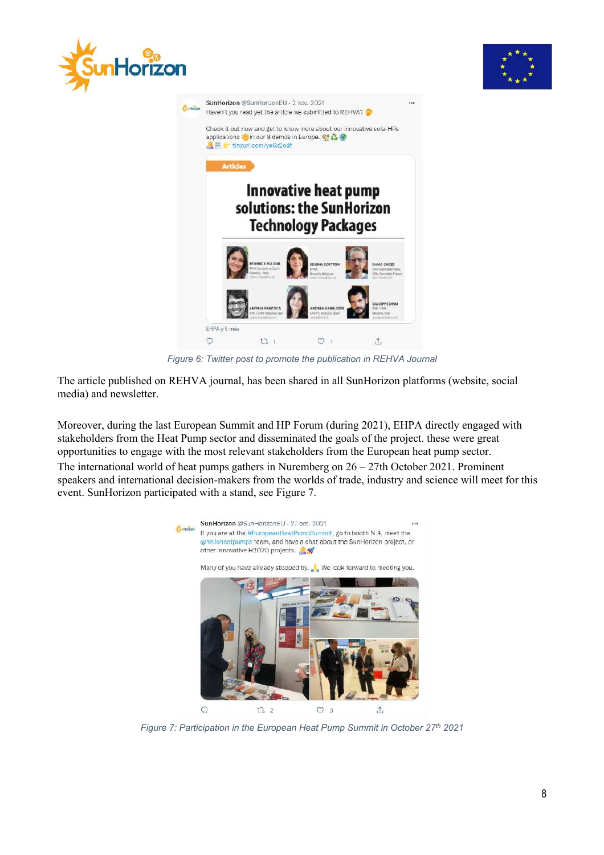





*Figure 6: Twitter post to promote the publication in REHVA Journal*

The article published on REHVA journal, has been shared in all SunHorizon platforms (website, social media) and newsletter.

Moreover, during the last European Summit and HP Forum (during 2021), EHPA directly engaged with stakeholders from the Heat Pump sector and disseminated the goals of the project. these were great opportunities to engage with the most relevant stakeholders from the European heat pump sector.

The international world of heat pumps gathers in Nuremberg on 26 – 27th October 2021. Prominent speakers and international decision-makers from the worlds of trade, industry and science will meet for this event. SunHorizon participated with a stand, see Figure 7.



*Figure 7: Participation in the European Heat Pump Summit in October 27th 2021*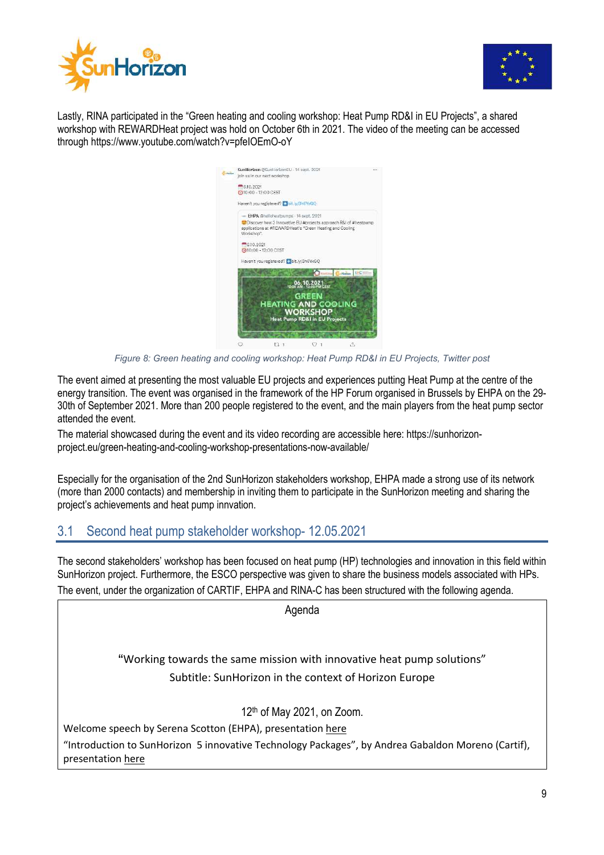



Lastly, RINA participated in the "Green heating and cooling workshop: Heat Pump RD&I in EU Projects", a shared workshop with REWARDHeat project was hold on October 6th in 2021. The video of the meeting can be accessed through https://www.youtube.com/watch?v=pfeIOEmO-oY

| ستنبد | SunHorizon @SunHorizonEU - 14 sept. 2021<br>join us in our next workshop.                                                                  |  |      | 111             |  |  |                            |  |  |  |  |  |
|-------|--------------------------------------------------------------------------------------------------------------------------------------------|--|------|-----------------|--|--|----------------------------|--|--|--|--|--|
|       |                                                                                                                                            |  |      |                 |  |  |                            |  |  |  |  |  |
|       | $-6.10.2021$                                                                                                                               |  |      |                 |  |  |                            |  |  |  |  |  |
|       | 10:00 - 12:00 CEST                                                                                                                         |  |      |                 |  |  |                            |  |  |  |  |  |
|       | Haven't you registered? Dit.ly/3h6YxGQ                                                                                                     |  |      |                 |  |  |                            |  |  |  |  |  |
|       | - EHPA @helloheatoumos - 14 sept. 2021                                                                                                     |  |      |                 |  |  |                            |  |  |  |  |  |
|       | Discover how 3 Innovative EU #projects approach R&I of #heatpump<br>applications at #REWARDHeat's "Green Heating and Cooling<br>Workshop". |  |      |                 |  |  |                            |  |  |  |  |  |
|       | 6.10.2021<br>(910:00 - 12:00 CEST                                                                                                          |  |      |                 |  |  |                            |  |  |  |  |  |
|       | Haven't you registered? Labit. W/3h6YxGO                                                                                                   |  |      |                 |  |  |                            |  |  |  |  |  |
|       |                                                                                                                                            |  |      | -Florina<br>おこち |  |  |                            |  |  |  |  |  |
|       | 06.10.2021<br><b>GREEN</b>                                                                                                                 |  |      |                 |  |  |                            |  |  |  |  |  |
|       |                                                                                                                                            |  |      |                 |  |  | HEATING <b>AND</b> COOLING |  |  |  |  |  |
|       |                                                                                                                                            |  |      |                 |  |  | <b>WORKSHOP</b>            |  |  |  |  |  |
|       | <b>Heat Pump RD&amp;I in EU Projects</b>                                                                                                   |  |      |                 |  |  |                            |  |  |  |  |  |
|       |                                                                                                                                            |  |      |                 |  |  |                            |  |  |  |  |  |
|       |                                                                                                                                            |  | 13 1 |                 |  |  |                            |  |  |  |  |  |

*Figure 8: Green heating and cooling workshop: Heat Pump RD&I in EU Projects, Twitter post*

The event aimed at presenting the most valuable EU projects and experiences putting Heat Pump at the centre of the energy transition. The event was organised in the framework of the HP Forum organised in Brussels by EHPA on the 29- 30th of September 2021. More than 200 people registered to the event, and the main players from the heat pump sector attended the event.

The material showcased during the event and its video recording are accessible here: https://sunhorizonproject.eu/green-heating-and-cooling-workshop-presentations-now-available/

Especially for the organisation of the 2nd SunHorizon stakeholders workshop, EHPA made a strong use of its network (more than 2000 contacts) and membership in inviting them to participate in the SunHorizon meeting and sharing the project's achievements and heat pump innvation.

#### 3.1 Second heat pump stakeholder workshop- 12.05.2021

The second stakeholders' workshop has been focused on heat pump (HP) technologies and innovation in this field within SunHorizon project. Furthermore, the ESCO perspective was given to share the business models associated with HPs. The event, under the organization of CARTIF, EHPA and RINA-C has been structured with the following agenda.

Agenda **"**Working towards the same mission with innovative heat pump solutions" Subtitle: SunHorizon in the context of Horizon Europe 12th of May 2021, on Zoom. Welcome speech by Serena Scotton (EHPA), presentation here "Introduction to SunHorizon 5 innovative Technology Packages", by Andrea Gabaldon Moreno (Cartif), presentation here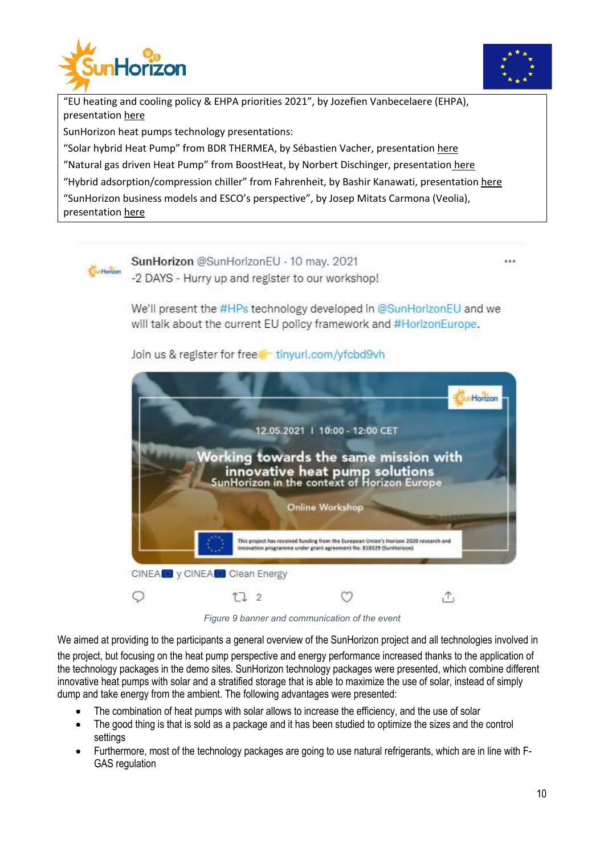



"EU heating and cooling policy & EHPA priorities 2021", by Jozefien Vanbecelaere (EHPA), presentation here

SunHorizon heat pumps technology presentations:

"Solar hybrid Heat Pump" from BDR THERMEA, by Sébastien Vacher, presentation here

"Natural gas driven Heat Pump" from BoostHeat, by Norbert Dischinger, presentation here

"Hybrid adsorption/compression chiller" from Fahrenheit, by Bashir Kanawati, presentation here

"SunHorizon business models and ESCO's perspective", by Josep Mitats Carmona (Veolia), presentation here



We'll present the #HPs technology developed in @SunHorizonEU and we will talk about the current EU policy framework and #HorizonEurope.

Join us & register for free tinyurl.com/yfcbd9vh



*Figure 9 banner and communication of the event*

We aimed at providing to the participants a general overview of the SunHorizon project and all technologies involved in the project, but focusing on the heat pump perspective and energy performance increased thanks to the application of the technology packages in the demo sites. SunHorizon technology packages were presented, which combine different innovative heat pumps with solar and a stratified storage that is able to maximize the use of solar, instead of simply dump and take energy from the ambient. The following advantages were presented:

- The combination of heat pumps with solar allows to increase the efficiency, and the use of solar
- The good thing is that is sold as a package and it has been studied to optimize the sizes and the control settings
- Furthermore, most of the technology packages are going to use natural refrigerants, which are in line with F-GAS regulation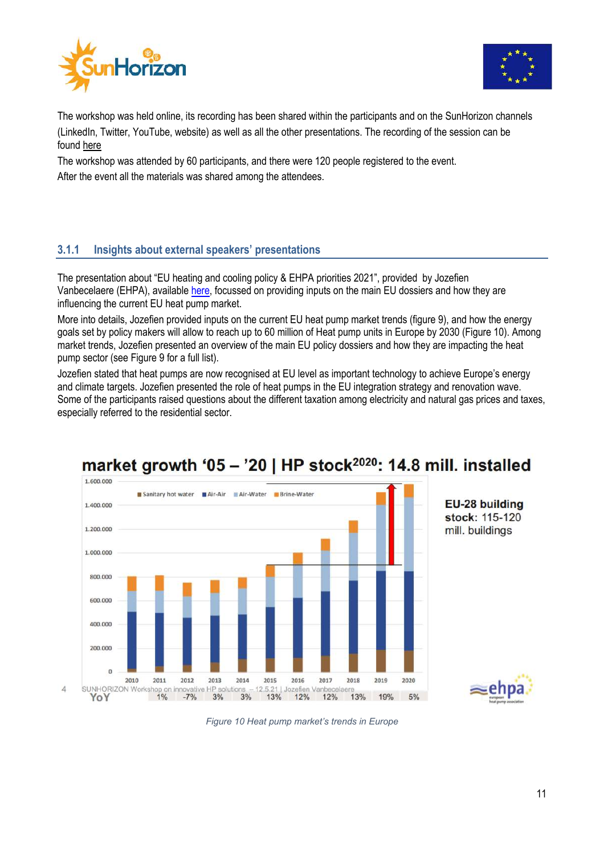



The workshop was held online, its recording has been shared within the participants and on the SunHorizon channels (LinkedIn, Twitter, YouTube, website) as well as all the other presentations. The recording of the session can be found here

The workshop was attended by 60 participants, and there were 120 people registered to the event.

After the event all the materials was shared among the attendees.

#### **3.1.1 Insights about external speakers' presentations**

The presentation about "EU heating and cooling policy & EHPA priorities 2021", provided by Jozefien Vanbecelaere (EHPA), available here, focussed on providing inputs on the main EU dossiers and how they are influencing the current EU heat pump market.

More into details, Jozefien provided inputs on the current EU heat pump market trends (figure 9), and how the energy goals set by policy makers will allow to reach up to 60 million of Heat pump units in Europe by 2030 (Figure 10). Among market trends, Jozefien presented an overview of the main EU policy dossiers and how they are impacting the heat pump sector (see Figure 9 for a full list).

Jozefien stated that heat pumps are now recognised at EU level as important technology to achieve Europe's energy and climate targets. Jozefien presented the role of heat pumps in the EU integration strategy and renovation wave. Some of the participants raised questions about the different taxation among electricity and natural gas prices and taxes, especially referred to the residential sector.



## market growth '05 - '20 | HP stock<sup>2020</sup>: 14.8 mill. installed

*Figure 10 Heat pump market's trends in Europe*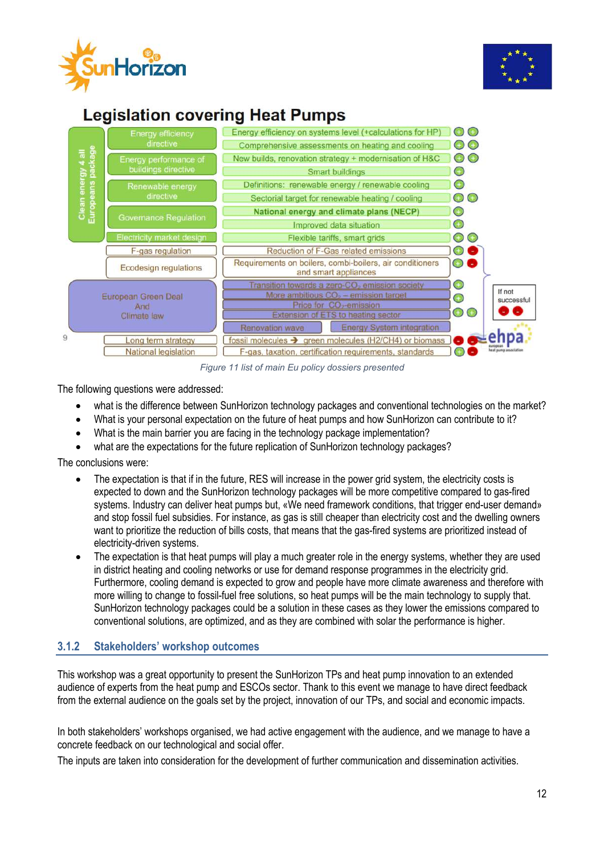



### **Legislation covering Heat Pumps**



*Figure 11 list of main Eu policy dossiers presented*

The following questions were addressed:

- what is the difference between SunHorizon technology packages and conventional technologies on the market?
- What is your personal expectation on the future of heat pumps and how SunHorizon can contribute to it?
- What is the main barrier you are facing in the technology package implementation?
- what are the expectations for the future replication of SunHorizon technology packages?

The conclusions were:

- The expectation is that if in the future, RES will increase in the power grid system, the electricity costs is expected to down and the SunHorizon technology packages will be more competitive compared to gas-fired systems. Industry can deliver heat pumps but, «We need framework conditions, that trigger end-user demand» and stop fossil fuel subsidies. For instance, as gas is still cheaper than electricity cost and the dwelling owners want to prioritize the reduction of bills costs, that means that the gas-fired systems are prioritized instead of electricity-driven systems.
- The expectation is that heat pumps will play a much greater role in the energy systems, whether they are used in district heating and cooling networks or use for demand response programmes in the electricity grid. Furthermore, cooling demand is expected to grow and people have more climate awareness and therefore with more willing to change to fossil-fuel free solutions, so heat pumps will be the main technology to supply that. SunHorizon technology packages could be a solution in these cases as they lower the emissions compared to conventional solutions, are optimized, and as they are combined with solar the performance is higher.

#### **3.1.2 Stakeholders' workshop outcomes**

This workshop was a great opportunity to present the SunHorizon TPs and heat pump innovation to an extended audience of experts from the heat pump and ESCOs sector. Thank to this event we manage to have direct feedback from the external audience on the goals set by the project, innovation of our TPs, and social and economic impacts.

In both stakeholders' workshops organised, we had active engagement with the audience, and we manage to have a concrete feedback on our technological and social offer.

The inputs are taken into consideration for the development of further communication and dissemination activities.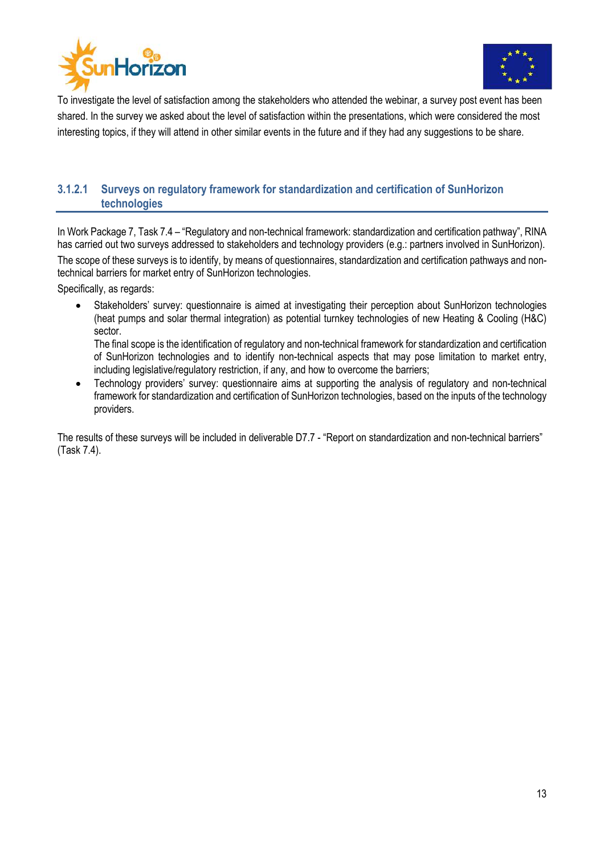



To investigate the level of satisfaction among the stakeholders who attended the webinar, a survey post event has been shared. In the survey we asked about the level of satisfaction within the presentations, which were considered the most interesting topics, if they will attend in other similar events in the future and if they had any suggestions to be share.

#### **3.1.2.1 Surveys on regulatory framework for standardization and certification of SunHorizon technologies**

In Work Package 7, Task 7.4 – "Regulatory and non-technical framework: standardization and certification pathway", RINA has carried out two surveys addressed to stakeholders and technology providers (e.g.: partners involved in SunHorizon).

The scope of these surveys is to identify, by means of questionnaires, standardization and certification pathways and nontechnical barriers for market entry of SunHorizon technologies.

Specifically, as regards:

Stakeholders' survey: questionnaire is aimed at investigating their perception about SunHorizon technologies (heat pumps and solar thermal integration) as potential turnkey technologies of new Heating & Cooling (H&C) sector.

The final scope is the identification of regulatory and non-technical framework for standardization and certification of SunHorizon technologies and to identify non-technical aspects that may pose limitation to market entry, including legislative/regulatory restriction, if any, and how to overcome the barriers;

• Technology providers' survey: questionnaire aims at supporting the analysis of regulatory and non-technical framework for standardization and certification of SunHorizon technologies, based on the inputs of the technology providers.

The results of these surveys will be included in deliverable D7.7 - "Report on standardization and non-technical barriers" (Task 7.4).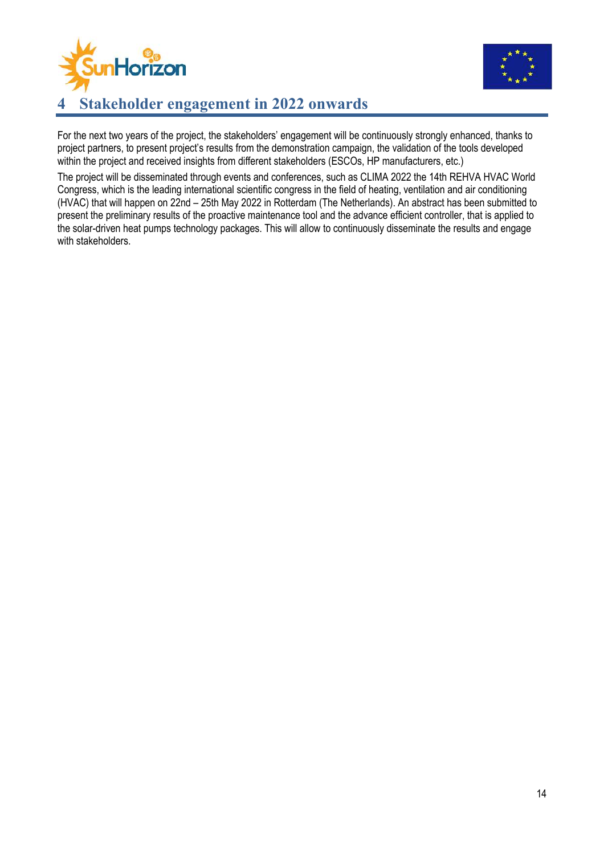



### **4 Stakeholder engagement in 2022 onwards**

For the next two years of the project, the stakeholders' engagement will be continuously strongly enhanced, thanks to project partners, to present project's results from the demonstration campaign, the validation of the tools developed within the project and received insights from different stakeholders (ESCOs, HP manufacturers, etc.)

The project will be disseminated through events and conferences, such as CLIMA 2022 the 14th REHVA HVAC World Congress, which is the leading international scientific congress in the field of heating, ventilation and air conditioning (HVAC) that will happen on 22nd – 25th May 2022 in Rotterdam (The Netherlands). An abstract has been submitted to present the preliminary results of the proactive maintenance tool and the advance efficient controller, that is applied to the solar-driven heat pumps technology packages. This will allow to continuously disseminate the results and engage with stakeholders.